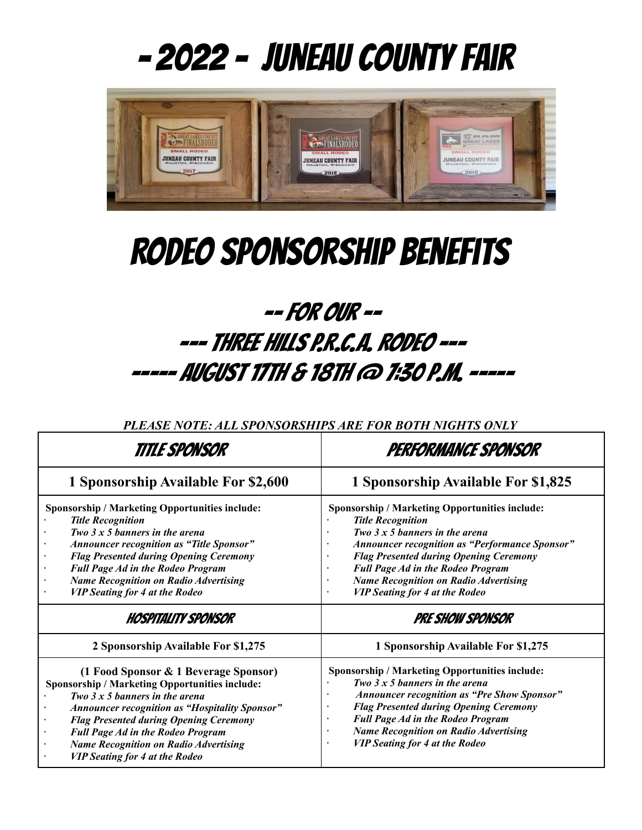# - 2022 - Juneau County Fair



# RODEO Sponsorship Benefits

# -- For our -- --- THREE HILLS P.R.C.A. RODEO --- ----- August 17th & 18th @ 7:30 p.m. -----

*PLEASE NOTE: ALL SPONSORSHIPS ARE FOR BOTH NIGHTS ONLY*

| Title Sponsor                                                                                                                                                                                                                                                                                                                                                                                                                                                                                                                                                                                                                                                                                                                                                        | PERFORMANCE SPONSOR                                                                                                                                                                                                                                                                                                                                                             |  |
|----------------------------------------------------------------------------------------------------------------------------------------------------------------------------------------------------------------------------------------------------------------------------------------------------------------------------------------------------------------------------------------------------------------------------------------------------------------------------------------------------------------------------------------------------------------------------------------------------------------------------------------------------------------------------------------------------------------------------------------------------------------------|---------------------------------------------------------------------------------------------------------------------------------------------------------------------------------------------------------------------------------------------------------------------------------------------------------------------------------------------------------------------------------|--|
| 1 Sponsorship Available For \$2,600                                                                                                                                                                                                                                                                                                                                                                                                                                                                                                                                                                                                                                                                                                                                  | 1 Sponsorship Available For \$1,825                                                                                                                                                                                                                                                                                                                                             |  |
| Sponsorship / Marketing Opportunities include:<br><b>Title Recognition</b><br>Two $3 \times 5$ banners in the arena<br><b>Announcer recognition as "Title Sponsor"</b><br><b>Flag Presented during Opening Ceremony</b><br><b>Full Page Ad in the Rodeo Program</b><br><b>Name Recognition on Radio Advertising</b><br><b>VIP Seating for 4 at the Rodeo</b>                                                                                                                                                                                                                                                                                                                                                                                                         | Sponsorship / Marketing Opportunities include:<br><b>Title Recognition</b><br>Two $3 \times 5$ banners in the arena<br><b>Announcer recognition as "Performance Sponsor"</b><br><b>Flag Presented during Opening Ceremony</b><br><b>Full Page Ad in the Rodeo Program</b><br>$\bullet$<br><b>Name Recognition on Radio Advertising</b><br><b>VIP Seating for 4 at the Rodeo</b> |  |
| HOSPITALITY SPONSOR                                                                                                                                                                                                                                                                                                                                                                                                                                                                                                                                                                                                                                                                                                                                                  | <b>PRE SHOW SPONSOR</b>                                                                                                                                                                                                                                                                                                                                                         |  |
| 2 Sponsorship Available For \$1,275                                                                                                                                                                                                                                                                                                                                                                                                                                                                                                                                                                                                                                                                                                                                  | 1 Sponsorship Available For \$1,275                                                                                                                                                                                                                                                                                                                                             |  |
| (1 Food Sponsor & 1 Beverage Sponsor)<br><b>Sponsorship / Marketing Opportunities include:</b><br>Two $3 \times 5$ banners in the arena<br>Sponsorship / Marketing Opportunities include:<br><b>Announcer recognition as "Pre Show Sponsor"</b><br>Two $3 \times 5$ banners in the arena<br><b>Flag Presented during Opening Ceremony</b><br><b>Announcer recognition as "Hospitality Sponsor"</b><br>$\bullet$<br><b>Full Page Ad in the Rodeo Program</b><br><b>Flag Presented during Opening Ceremony</b><br><b>Name Recognition on Radio Advertising</b><br><b>Full Page Ad in the Rodeo Program</b><br>$\bullet$<br><b>VIP Seating for 4 at the Rodeo</b><br><b>Name Recognition on Radio Advertising</b><br>$\bullet$<br><b>VIP Seating for 4 at the Rodeo</b> |                                                                                                                                                                                                                                                                                                                                                                                 |  |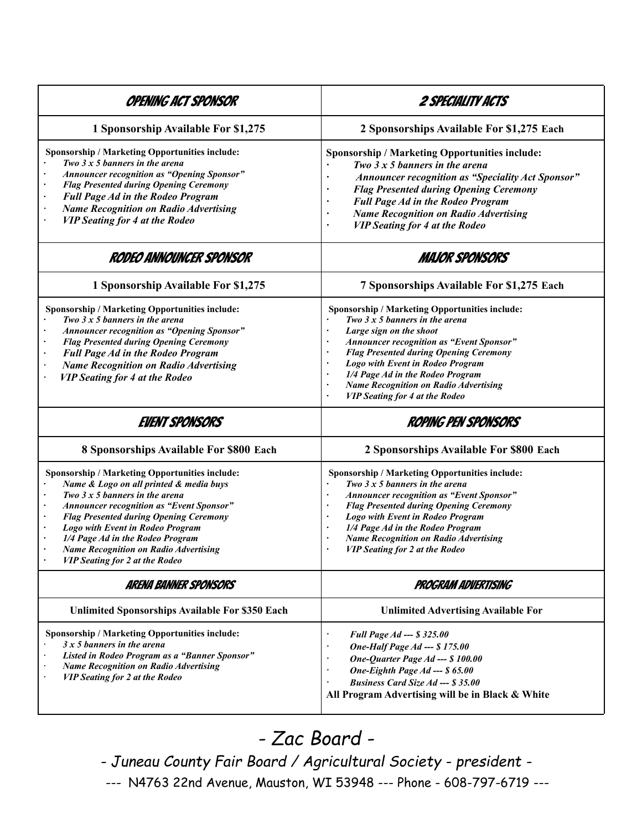| OPENING ACT SPONSOR                                                                                                                                                                                                                                                                                                                                                                              | <i>2 SPECIALITY ACTS</i>                                                                                                                                                                                                                                                                                                                                                                         |  |
|--------------------------------------------------------------------------------------------------------------------------------------------------------------------------------------------------------------------------------------------------------------------------------------------------------------------------------------------------------------------------------------------------|--------------------------------------------------------------------------------------------------------------------------------------------------------------------------------------------------------------------------------------------------------------------------------------------------------------------------------------------------------------------------------------------------|--|
| 1 Sponsorship Available For \$1,275                                                                                                                                                                                                                                                                                                                                                              | 2 Sponsorships Available For \$1,275 Each                                                                                                                                                                                                                                                                                                                                                        |  |
| Sponsorship / Marketing Opportunities include:<br>Two $3x5$ banners in the arena<br><b>Announcer recognition as "Opening Sponsor"</b><br><b>Flag Presented during Opening Ceremony</b><br><b>Full Page Ad in the Rodeo Program</b><br><b>Name Recognition on Radio Advertising</b><br><b>VIP Seating for 4 at the Rodeo</b>                                                                      | Sponsorship / Marketing Opportunities include:<br>Two $3x5$ banners in the arena<br>Announcer recognition as "Speciality Act Sponsor"<br><b>Flag Presented during Opening Ceremony</b><br><b>Full Page Ad in the Rodeo Program</b><br><b>Name Recognition on Radio Advertising</b><br><b>VIP Seating for 4 at the Rodeo</b><br>$\blacksquare$                                                    |  |
| RODEO ANNOUNCER SPONSOR                                                                                                                                                                                                                                                                                                                                                                          | <b>MAJOR SPONSORS</b>                                                                                                                                                                                                                                                                                                                                                                            |  |
| 1 Sponsorship Available For \$1,275                                                                                                                                                                                                                                                                                                                                                              | 7 Sponsorships Available For \$1,275 Each                                                                                                                                                                                                                                                                                                                                                        |  |
| Sponsorship / Marketing Opportunities include:<br>Two $3x5$ banners in the arena<br><b>Announcer recognition as "Opening Sponsor"</b><br><b>Flag Presented during Opening Ceremony</b><br><b>Full Page Ad in the Rodeo Program</b><br><b>Name Recognition on Radio Advertising</b><br><b>VIP Seating for 4 at the Rodeo</b>                                                                      | Sponsorship / Marketing Opportunities include:<br>Two $3x5$ banners in the arena<br>Large sign on the shoot<br>×<br>Announcer recognition as "Event Sponsor"<br><b>Flag Presented during Opening Ceremony</b><br>Logo with Event in Rodeo Program<br>$\blacksquare$<br>1/4 Page Ad in the Rodeo Program<br><b>Name Recognition on Radio Advertising</b><br><b>VIP Seating for 4 at the Rodeo</b> |  |
| <b>EVENT SPONSORS</b>                                                                                                                                                                                                                                                                                                                                                                            | <b>ROPING PEN SPONSORS</b>                                                                                                                                                                                                                                                                                                                                                                       |  |
| 8 Sponsorships Available For \$800 Each                                                                                                                                                                                                                                                                                                                                                          | 2 Sponsorships Available For \$800 Each                                                                                                                                                                                                                                                                                                                                                          |  |
| Sponsorship / Marketing Opportunities include:<br>Name & Logo on all printed & media buys<br>Two $3x5$ banners in the arena<br><b>Announcer recognition as "Event Sponsor"</b><br><b>Flag Presented during Opening Ceremony</b><br>Logo with Event in Rodeo Program<br>1/4 Page Ad in the Rodeo Program<br><b>Name Recognition on Radio Advertising</b><br><b>VIP Seating for 2 at the Rodeo</b> | Sponsorship / Marketing Opportunities include:<br>Two $3x5$ banners in the arena<br><b>Announcer recognition as "Event Sponsor"</b><br><b>Flag Presented during Opening Ceremony</b><br>Logo with Event in Rodeo Program<br>1/4 Page Ad in the Rodeo Program<br><b>Name Recognition on Radio Advertising</b><br><b>VIP Seating for 2 at the Rodeo</b>                                            |  |
| ARENA BANNER SPONSORS                                                                                                                                                                                                                                                                                                                                                                            | PROGRAM ADVERTISING                                                                                                                                                                                                                                                                                                                                                                              |  |
| <b>Unlimited Sponsorships Available For \$350 Each</b>                                                                                                                                                                                                                                                                                                                                           | <b>Unlimited Advertising Available For</b>                                                                                                                                                                                                                                                                                                                                                       |  |
| Sponsorship / Marketing Opportunities include:<br>$3x5$ banners in the arena<br>Listed in Rodeo Program as a "Banner Sponsor"<br><b>Name Recognition on Radio Advertising</b><br><b>VIP Seating for 2 at the Rodeo</b>                                                                                                                                                                           | Full Page Ad --- \$ 325.00<br>$\bullet$<br>One-Half Page Ad --- \$ 175.00<br>One-Quarter Page Ad --- \$ 100.00<br>One-Eighth Page Ad --- \$ 65.00<br><b>Business Card Size Ad --- \$ 35.00</b><br>All Program Advertising will be in Black & White                                                                                                                                               |  |

## *- Zac Board -*

*- Juneau County Fair Board / Agricultural Society - president - ---* N4763 22nd Avenue, Mauston, WI 53948 --- Phone - 608-797-6719 *---*